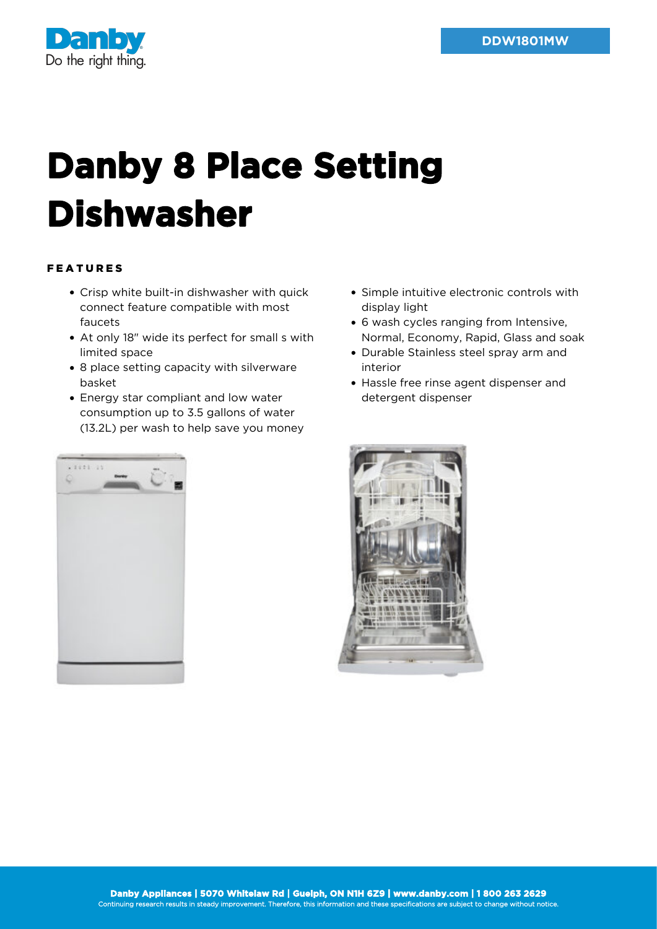

## **Danby 8 Place Setting Dishwasher**

## FEATURES

- Crisp white built-in dishwasher with quick connect feature compatible with most faucets
- At only 18" wide its perfect for small s with limited space
- 8 place setting capacity with silverware basket
- Energy star compliant and low water consumption up to 3.5 gallons of water (13.2L) per wash to help save you money
- Simple intuitive electronic controls with display light
- 6 wash cycles ranging from Intensive, Normal, Economy, Rapid, Glass and soak
- Durable Stainless steel spray arm and interior
- Hassle free rinse agent dispenser and detergent dispenser